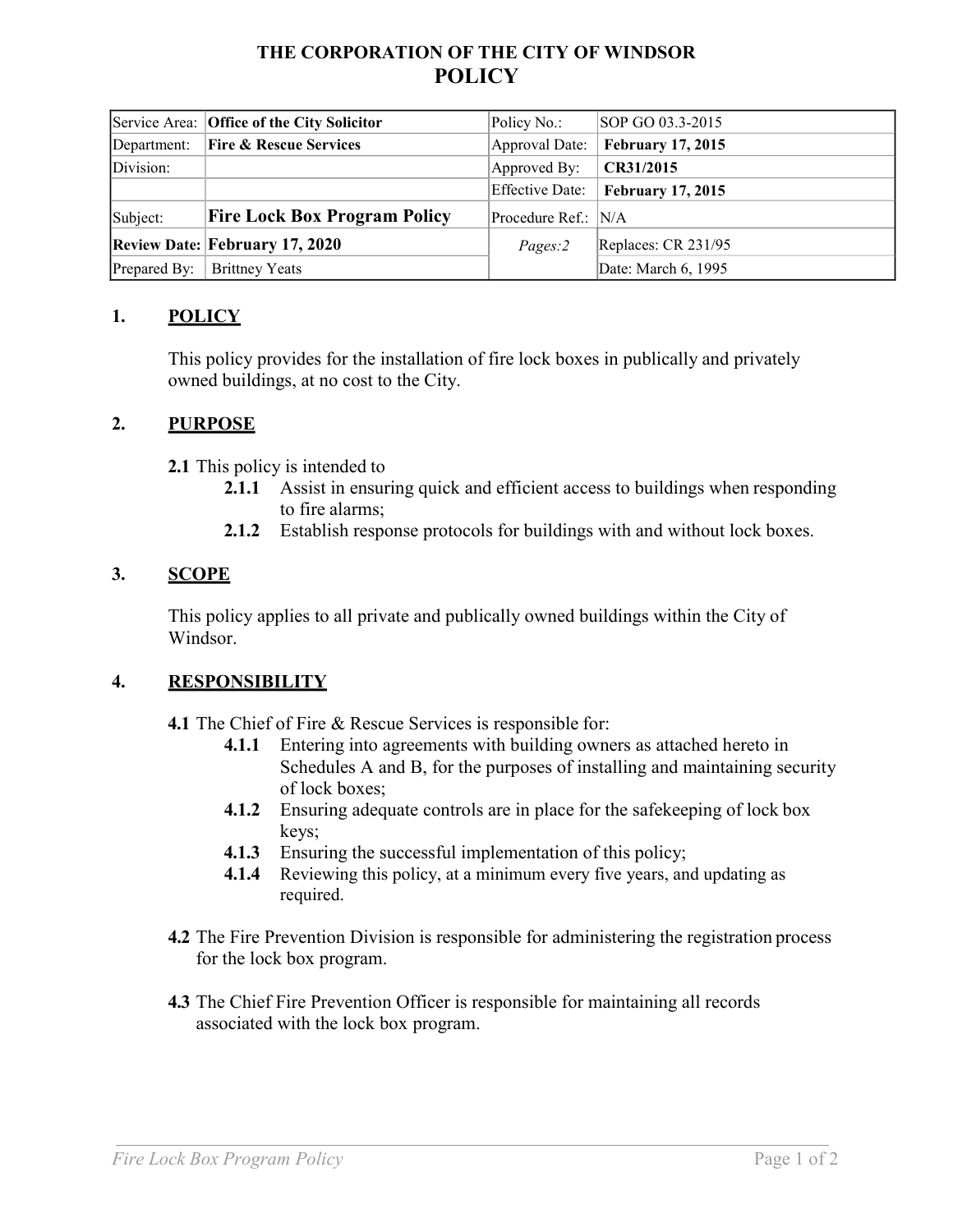# **THE CORPORATION OF THE CITY OF WINDSOR POLICY**

|              | Service Area: Office of the City Solicitor | Policy No.:          | SOP GO 03.3-2015         |
|--------------|--------------------------------------------|----------------------|--------------------------|
| Department:  | <b>Fire &amp; Rescue Services</b>          | Approval Date:       | <b>February 17, 2015</b> |
| Division:    |                                            | Approved By:         | CR31/2015                |
|              |                                            | Effective Date:      | <b>February 17, 2015</b> |
| Subject:     | <b>Fire Lock Box Program Policy</b>        | Procedure Ref.:  N/A |                          |
|              | <b>Review Date: February 17, 2020</b>      | $Pages$ : 2          | Replaces: CR 231/95      |
| Prepared By: | <b>Brittney Yeats</b>                      |                      | Date: March 6, 1995      |

## **1. POLICY**

This policy provides for the installation of fire lock boxes in publically and privately owned buildings, at no cost to the City.

## **2. PURPOSE**

**2.1** This policy is intended to

- **2.1.1** Assist in ensuring quick and efficient access to buildings when responding to fire alarms;
- **2.1.2** Establish response protocols for buildings with and without lock boxes.

## **3. SCOPE**

This policy applies to all private and publically owned buildings within the City of Windsor.

## **4. RESPONSIBILITY**

**4.1** The Chief of Fire & Rescue Services is responsible for:

- **4.1.1** Entering into agreements with building owners as attached hereto in Schedules A and B, for the purposes of installing and maintaining security of lock boxes;
- **4.1.2** Ensuring adequate controls are in place for the safekeeping of lock box keys;
- **4.1.3** Ensuring the successful implementation of this policy;
- **4.1.4** Reviewing this policy, at a minimum every five years, and updating as required.
- **4.2** The Fire Prevention Division is responsible for administering the registration process for the lock box program.
- **4.3** The Chief Fire Prevention Officer is responsible for maintaining all records associated with the lock box program.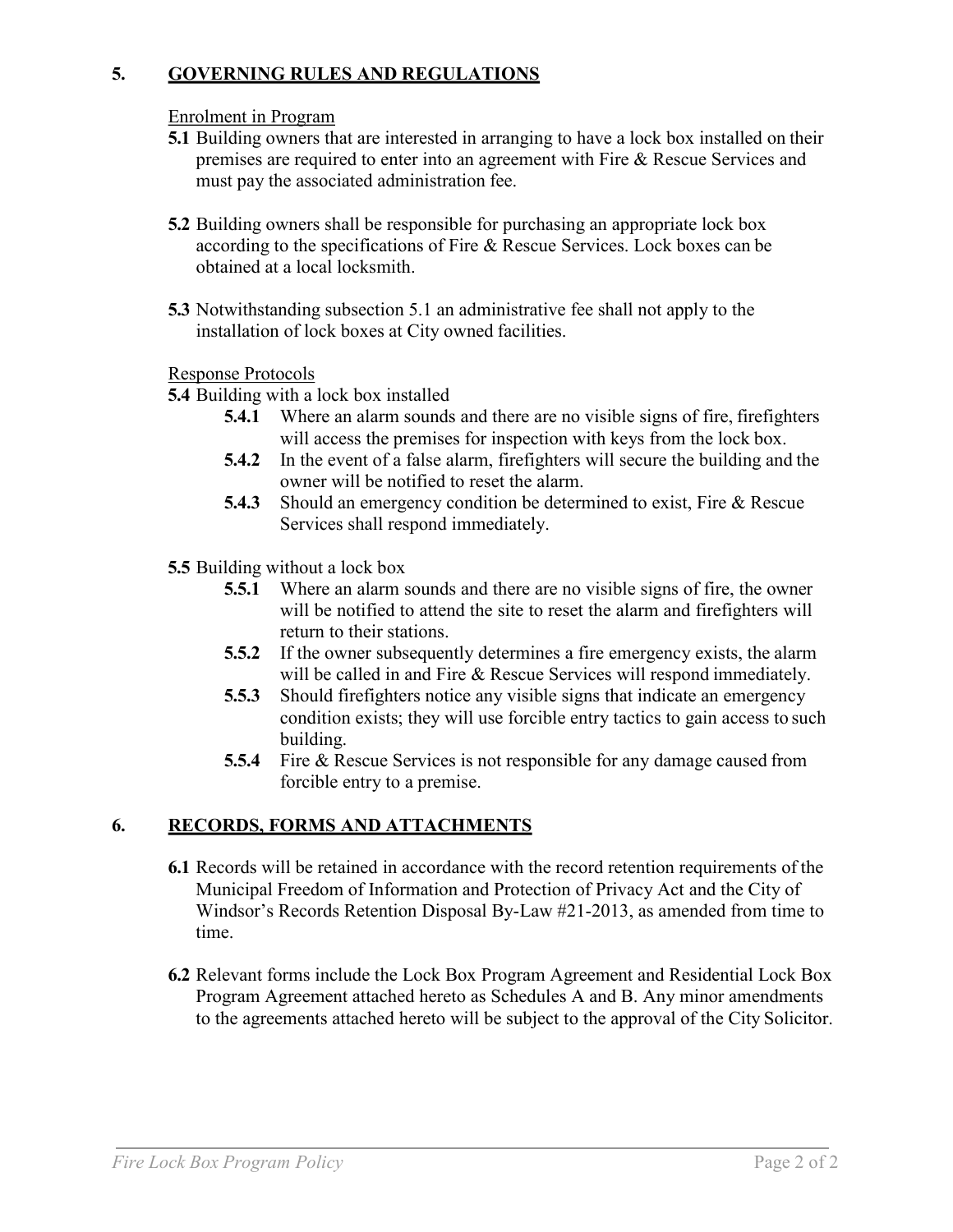## **5. GOVERNING RULES AND REGULATIONS**

#### Enrolment in Program

- **5.1** Building owners that are interested in arranging to have a lock box installed on their premises are required to enter into an agreement with Fire & Rescue Services and must pay the associated administration fee.
- **5.2** Building owners shall be responsible for purchasing an appropriate lock box according to the specifications of Fire & Rescue Services. Lock boxes can be obtained at a local locksmith.
- **5.3** Notwithstanding subsection 5.1 an administrative fee shall not apply to the installation of lock boxes at City owned facilities.

#### Response Protocols

## **5.4** Building with a lock box installed

- **5.4.1** Where an alarm sounds and there are no visible signs of fire, firefighters will access the premises for inspection with keys from the lock box.
- **5.4.2** In the event of a false alarm, firefighters will secure the building and the owner will be notified to reset the alarm.
- **5.4.3** Should an emergency condition be determined to exist, Fire & Rescue Services shall respond immediately.

#### **5.5** Building without a lock box

- **5.5.1** Where an alarm sounds and there are no visible signs of fire, the owner will be notified to attend the site to reset the alarm and firefighters will return to their stations.
- **5.5.2** If the owner subsequently determines a fire emergency exists, the alarm will be called in and Fire & Rescue Services will respond immediately.
- **5.5.3** Should firefighters notice any visible signs that indicate an emergency condition exists; they will use forcible entry tactics to gain access to such building.
- **5.5.4** Fire & Rescue Services is not responsible for any damage caused from forcible entry to a premise.

## **6. RECORDS, FORMS AND ATTACHMENTS**

- **6.1** Records will be retained in accordance with the record retention requirements of the Municipal Freedom of Information and Protection of Privacy Act and the City of Windsor's Records Retention Disposal By-Law #21-2013, as amended from time to time.
- **6.2** Relevant forms include the Lock Box Program Agreement and Residential Lock Box Program Agreement attached hereto as Schedules A and B. Any minor amendments to the agreements attached hereto will be subject to the approval of the City Solicitor.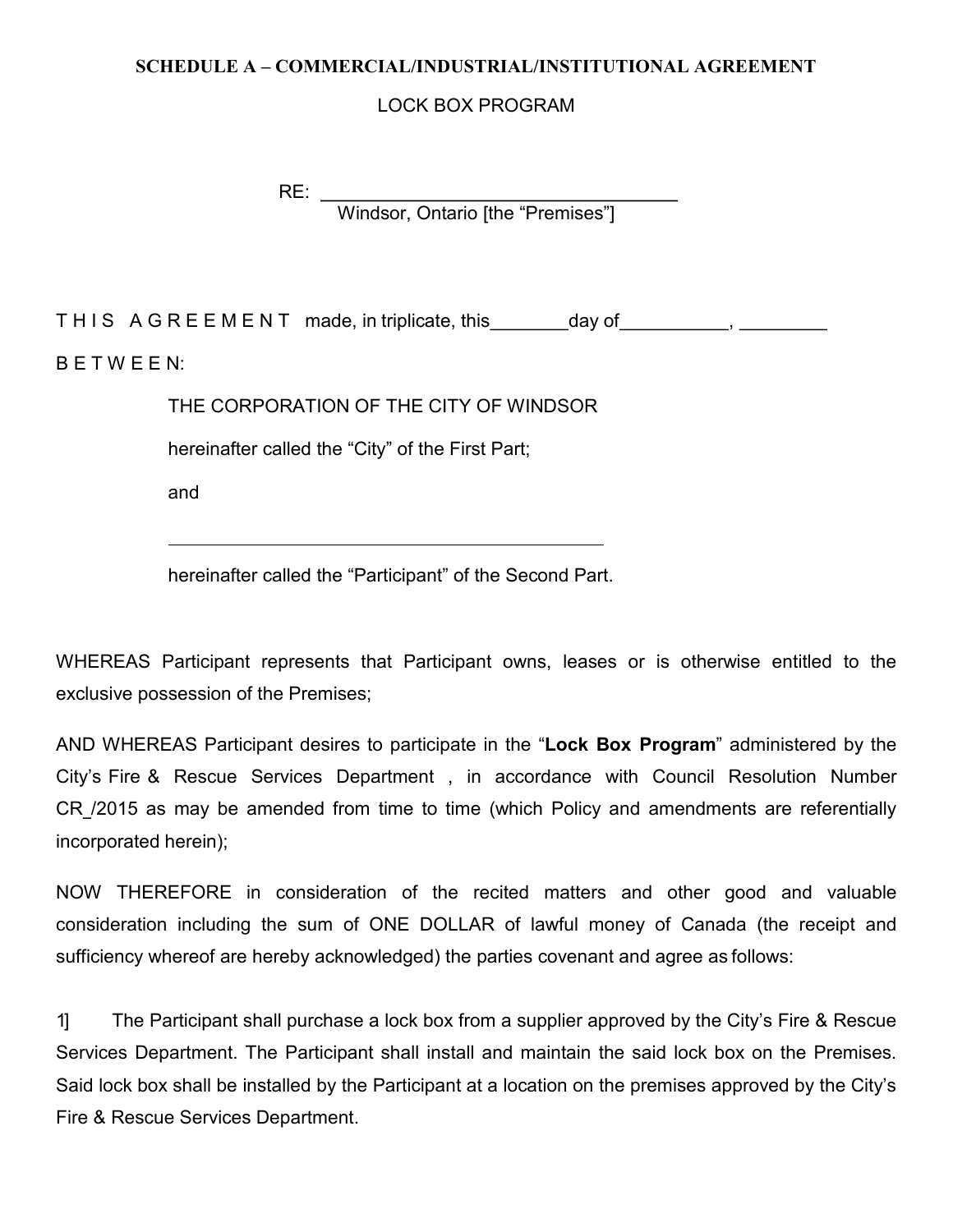#### **SCHEDULE A – COMMERCIAL/INDUSTRIAL/INSTITUTIONAL AGREEMENT**

## LOCK BOX PROGRAM

RE: Windsor, Ontario [the "Premises"]

THIS AGREEMENT made, in triplicate, this day of the state of the state of the state of the state of the state o B E T W E E N:

THE CORPORATION OF THE CITY OF WINDSOR

hereinafter called the "City" of the First Part;

and

hereinafter called the "Participant" of the Second Part.

WHEREAS Participant represents that Participant owns, leases or is otherwise entitled to the exclusive possession of the Premises;

AND WHEREAS Participant desires to participate in the "**Lock Box Program**" administered by the City's Fire & Rescue Services Department , in accordance with Council Resolution Number CR /2015 as may be amended from time to time (which Policy and amendments are referentially incorporated herein);

NOW THEREFORE in consideration of the recited matters and other good and valuable consideration including the sum of ONE DOLLAR of lawful money of Canada (the receipt and sufficiency whereof are hereby acknowledged) the parties covenant and agree as follows:

1] The Participant shall purchase a lock box from a supplier approved by the City's Fire & Rescue Services Department. The Participant shall install and maintain the said lock box on the Premises. Said lock box shall be installed by the Participant at a location on the premises approved by the City's Fire & Rescue Services Department.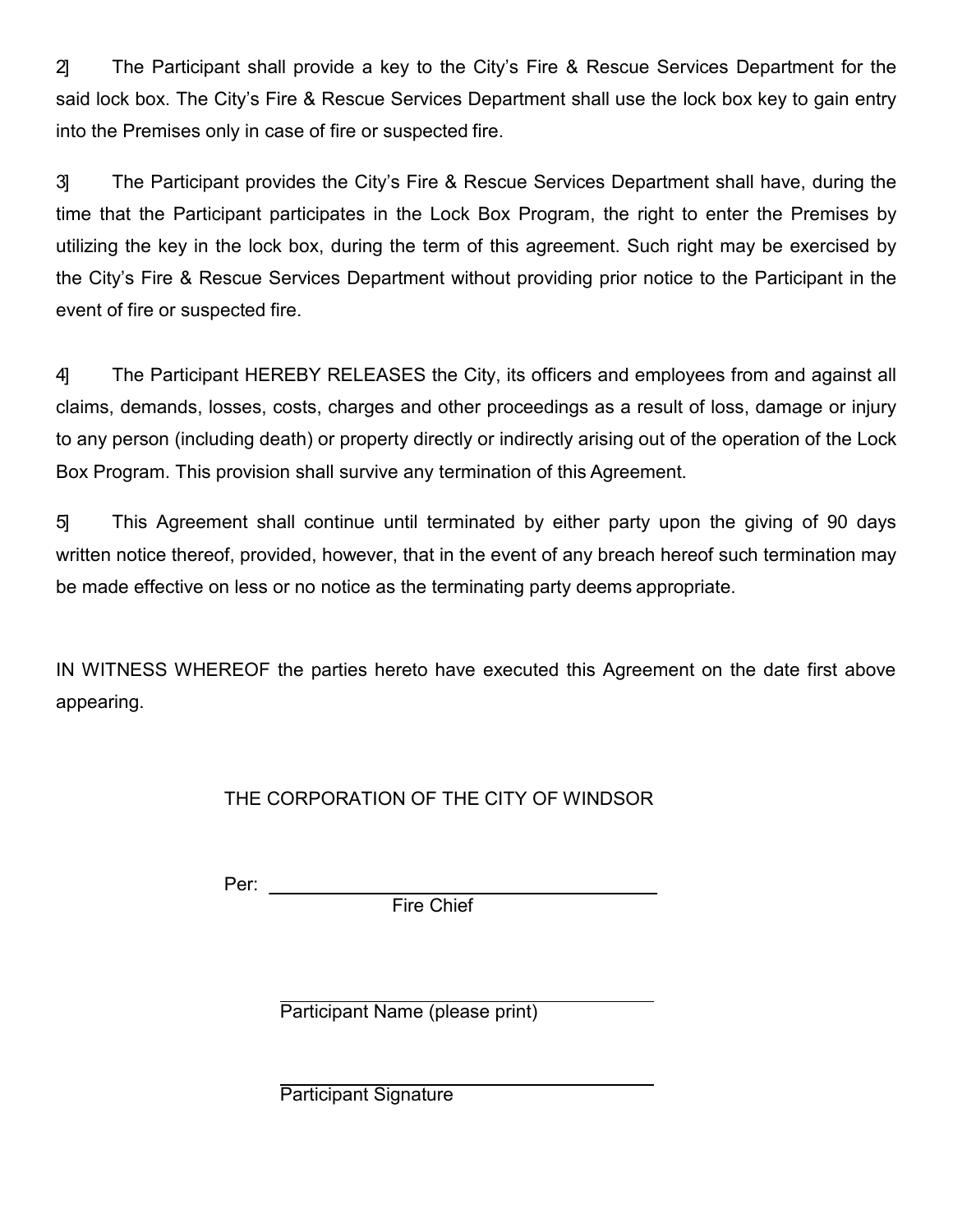2] The Participant shall provide a key to the City's Fire & Rescue Services Department for the said lock box. The City's Fire & Rescue Services Department shall use the lock box key to gain entry into the Premises only in case of fire or suspected fire.

3] The Participant provides the City's Fire & Rescue Services Department shall have, during the time that the Participant participates in the Lock Box Program, the right to enter the Premises by utilizing the key in the lock box, during the term of this agreement. Such right may be exercised by the City's Fire & Rescue Services Department without providing prior notice to the Participant in the event of fire or suspected fire.

4] The Participant HEREBY RELEASES the City, its officers and employees from and against all claims, demands, losses, costs, charges and other proceedings as a result of loss, damage or injury to any person (including death) or property directly or indirectly arising out of the operation of the Lock Box Program. This provision shall survive any termination of this Agreement.

5] This Agreement shall continue until terminated by either party upon the giving of 90 days written notice thereof, provided, however, that in the event of any breach hereof such termination may be made effective on less or no notice as the terminating party deems appropriate.

IN WITNESS WHEREOF the parties hereto have executed this Agreement on the date first above appearing.

# THE CORPORATION OF THE CITY OF WINDSOR

Per: \_\_\_\_\_\_

Fire Chief

Participant Name (please print)

Participant Signature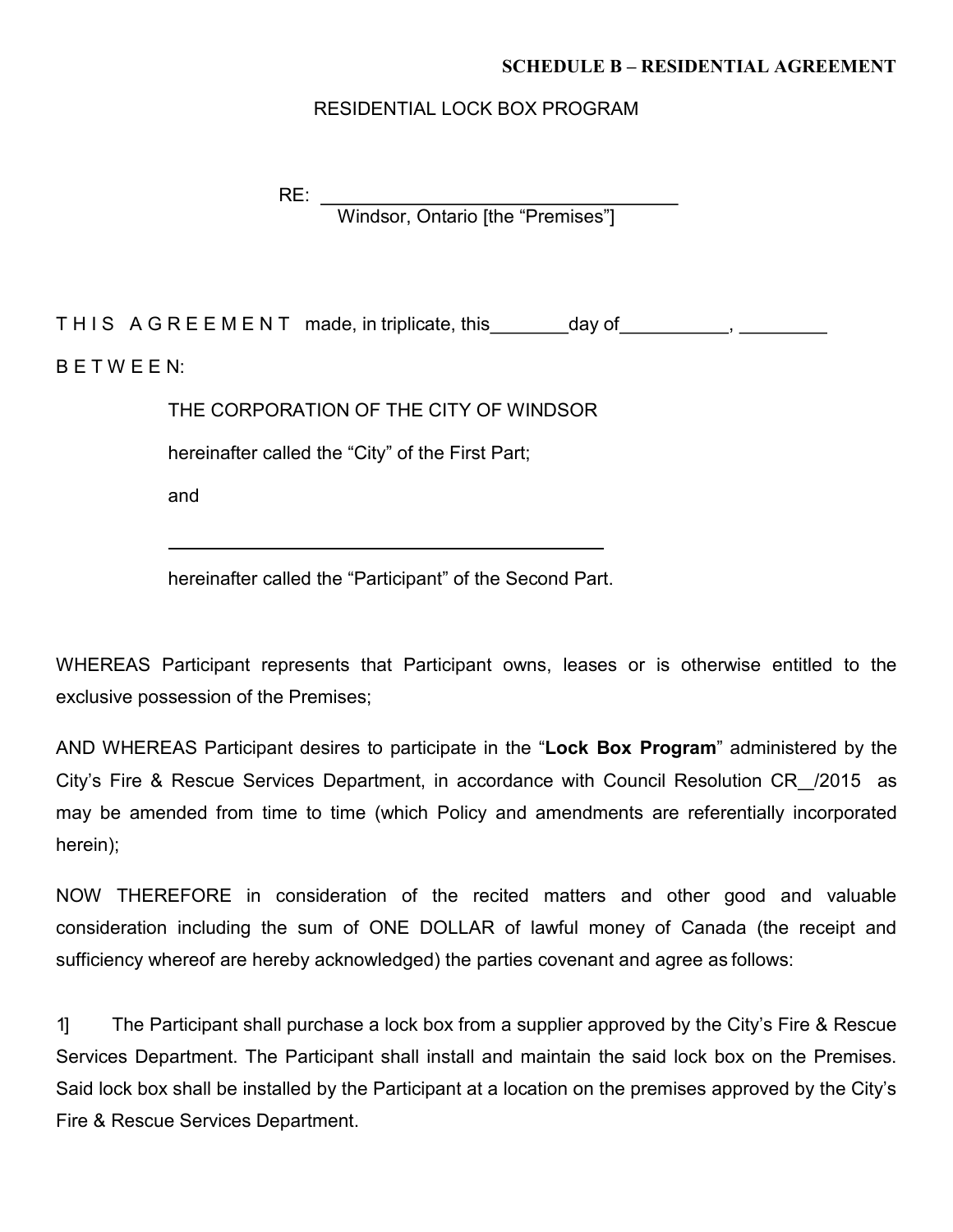#### **SCHEDULE B – RESIDENTIAL AGREEMENT**

#### RESIDENTIAL LOCK BOX PROGRAM

 $RE:$ Windsor, Ontario [the "Premises"]

THIS AGREEMENT made, in triplicate, this \_\_\_\_\_\_\_ day of \_\_\_\_\_\_\_\_\_\_, \_\_\_\_  $B E T W E E N$ :

THE CORPORATION OF THE CITY OF WINDSOR

hereinafter called the "City" of the First Part;

and

hereinafter called the "Participant" of the Second Part.

WHEREAS Participant represents that Participant owns, leases or is otherwise entitled to the exclusive possession of the Premises;

AND WHEREAS Participant desires to participate in the "**Lock Box Program**" administered by the City's Fire & Rescue Services Department, in accordance with Council Resolution CR /2015 as may be amended from time to time (which Policy and amendments are referentially incorporated herein);

NOW THEREFORE in consideration of the recited matters and other good and valuable consideration including the sum of ONE DOLLAR of lawful money of Canada (the receipt and sufficiency whereof are hereby acknowledged) the parties covenant and agree as follows:

1] The Participant shall purchase a lock box from a supplier approved by the City's Fire & Rescue Services Department. The Participant shall install and maintain the said lock box on the Premises. Said lock box shall be installed by the Participant at a location on the premises approved by the City's Fire & Rescue Services Department.